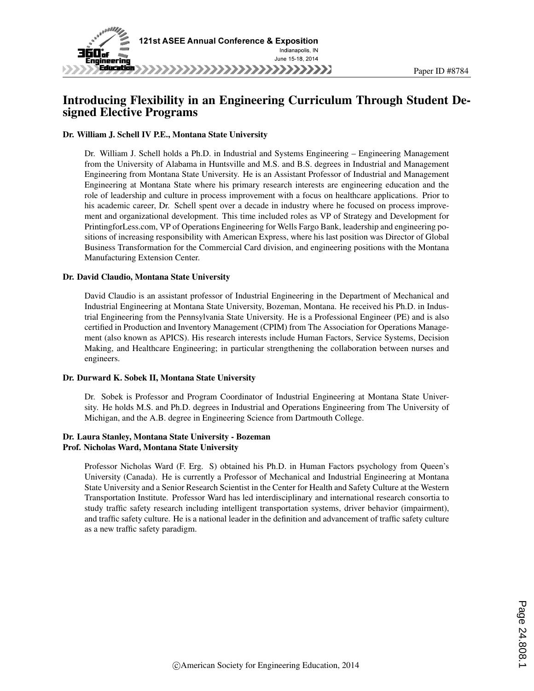

# Introducing Flexibility in an Engineering Curriculum Through Student Designed Elective Programs

#### Dr. William J. Schell IV P.E., Montana State University

Dr. William J. Schell holds a Ph.D. in Industrial and Systems Engineering – Engineering Management from the University of Alabama in Huntsville and M.S. and B.S. degrees in Industrial and Management Engineering from Montana State University. He is an Assistant Professor of Industrial and Management Engineering at Montana State where his primary research interests are engineering education and the role of leadership and culture in process improvement with a focus on healthcare applications. Prior to his academic career, Dr. Schell spent over a decade in industry where he focused on process improvement and organizational development. This time included roles as VP of Strategy and Development for PrintingforLess.com, VP of Operations Engineering for Wells Fargo Bank, leadership and engineering positions of increasing responsibility with American Express, where his last position was Director of Global Business Transformation for the Commercial Card division, and engineering positions with the Montana Manufacturing Extension Center.

#### Dr. David Claudio, Montana State University

David Claudio is an assistant professor of Industrial Engineering in the Department of Mechanical and Industrial Engineering at Montana State University, Bozeman, Montana. He received his Ph.D. in Industrial Engineering from the Pennsylvania State University. He is a Professional Engineer (PE) and is also certified in Production and Inventory Management (CPIM) from The Association for Operations Management (also known as APICS). His research interests include Human Factors, Service Systems, Decision Making, and Healthcare Engineering; in particular strengthening the collaboration between nurses and engineers.

#### Dr. Durward K. Sobek II, Montana State University

Dr. Sobek is Professor and Program Coordinator of Industrial Engineering at Montana State University. He holds M.S. and Ph.D. degrees in Industrial and Operations Engineering from The University of Michigan, and the A.B. degree in Engineering Science from Dartmouth College.

#### Dr. Laura Stanley, Montana State University - Bozeman Prof. Nicholas Ward, Montana State University

Professor Nicholas Ward (F. Erg. S) obtained his Ph.D. in Human Factors psychology from Queen's University (Canada). He is currently a Professor of Mechanical and Industrial Engineering at Montana State University and a Senior Research Scientist in the Center for Health and Safety Culture at the Western Transportation Institute. Professor Ward has led interdisciplinary and international research consortia to study traffic safety research including intelligent transportation systems, driver behavior (impairment), and traffic safety culture. He is a national leader in the definition and advancement of traffic safety culture as a new traffic safety paradigm.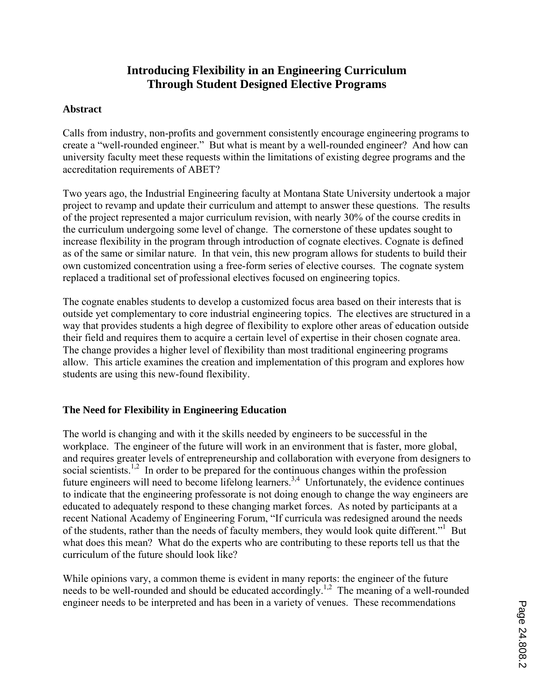# **Introducing Flexibility in an Engineering Curriculum Through Student Designed Elective Programs**

### **Abstract**

Calls from industry, non-profits and government consistently encourage engineering programs to create a "well-rounded engineer." But what is meant by a well-rounded engineer? And how can university faculty meet these requests within the limitations of existing degree programs and the accreditation requirements of ABET?

Two years ago, the Industrial Engineering faculty at Montana State University undertook a major project to revamp and update their curriculum and attempt to answer these questions. The results of the project represented a major curriculum revision, with nearly 30% of the course credits in the curriculum undergoing some level of change. The cornerstone of these updates sought to increase flexibility in the program through introduction of cognate electives. Cognate is defined as of the same or similar nature. In that vein, this new program allows for students to build their own customized concentration using a free-form series of elective courses. The cognate system replaced a traditional set of professional electives focused on engineering topics.

The cognate enables students to develop a customized focus area based on their interests that is outside yet complementary to core industrial engineering topics. The electives are structured in a way that provides students a high degree of flexibility to explore other areas of education outside their field and requires them to acquire a certain level of expertise in their chosen cognate area. The change provides a higher level of flexibility than most traditional engineering programs allow. This article examines the creation and implementation of this program and explores how students are using this new-found flexibility.

## **The Need for Flexibility in Engineering Education**

The world is changing and with it the skills needed by engineers to be successful in the workplace. The engineer of the future will work in an environment that is faster, more global, and requires greater levels of entrepreneurship and collaboration with everyone from designers to social scientists.<sup>1,2</sup> In order to be prepared for the continuous changes within the profession future engineers will need to become lifelong learners.<sup>3,4</sup> Unfortunately, the evidence continues to indicate that the engineering professorate is not doing enough to change the way engineers are educated to adequately respond to these changing market forces. As noted by participants at a recent National Academy of Engineering Forum, "If curricula was redesigned around the needs of the students, rather than the needs of faculty members, they would look quite different."<sup>1</sup> But what does this mean? What do the experts who are contributing to these reports tell us that the curriculum of the future should look like?

While opinions vary, a common theme is evident in many reports: the engineer of the future needs to be well-rounded and should be educated accordingly.<sup>1,2</sup> The meaning of a well-rounded engineer needs to be interpreted and has been in a variety of venues. These recommendations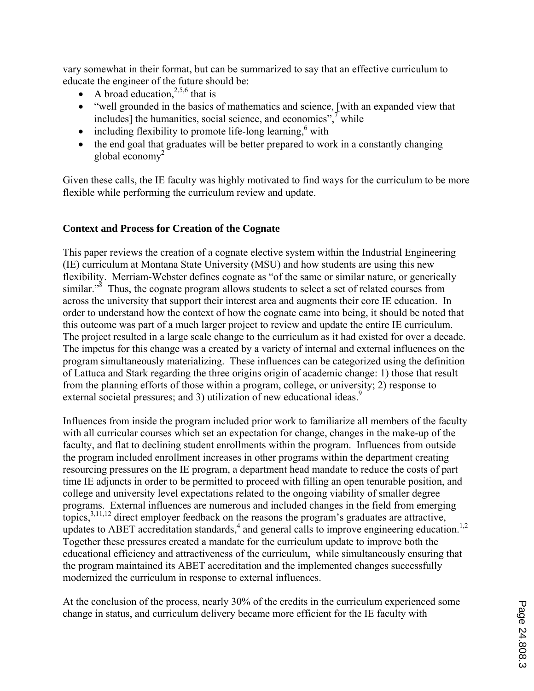vary somewhat in their format, but can be summarized to say that an effective curriculum to educate the engineer of the future should be:

- A broad education,  $2,5,6$  that is
- "well grounded in the basics of mathematics and science, [with an expanded view that includes] the humanities, social science, and economics", $\overline{y}$  while
- $\bullet$  including flexibility to promote life-long learning,  $6$  with
- the end goal that graduates will be better prepared to work in a constantly changing global economy $^2$

Given these calls, the IE faculty was highly motivated to find ways for the curriculum to be more flexible while performing the curriculum review and update.

## **Context and Process for Creation of the Cognate**

This paper reviews the creation of a cognate elective system within the Industrial Engineering (IE) curriculum at Montana State University (MSU) and how students are using this new flexibility. Merriam-Webster defines cognate as "of the same or similar nature, or generically similar."<sup>8</sup> Thus, the cognate program allows students to select a set of related courses from across the university that support their interest area and augments their core IE education. In order to understand how the context of how the cognate came into being, it should be noted that this outcome was part of a much larger project to review and update the entire IE curriculum. The project resulted in a large scale change to the curriculum as it had existed for over a decade. The impetus for this change was a created by a variety of internal and external influences on the program simultaneously materializing. These influences can be categorized using the definition of Lattuca and Stark regarding the three origins origin of academic change: 1) those that result from the planning efforts of those within a program, college, or university; 2) response to external societal pressures; and 3) utilization of new educational ideas.<sup>9</sup>

Influences from inside the program included prior work to familiarize all members of the faculty with all curricular courses which set an expectation for change, changes in the make-up of the faculty, and flat to declining student enrollments within the program. Influences from outside the program included enrollment increases in other programs within the department creating resourcing pressures on the IE program, a department head mandate to reduce the costs of part time IE adjuncts in order to be permitted to proceed with filling an open tenurable position, and college and university level expectations related to the ongoing viability of smaller degree programs. External influences are numerous and included changes in the field from emerging topics,  $3,11,12$  direct employer feedback on the reasons the program's graduates are attractive, updates to ABET accreditation standards,<sup>4</sup> and general calls to improve engineering education.<sup>1,2</sup> Together these pressures created a mandate for the curriculum update to improve both the educational efficiency and attractiveness of the curriculum, while simultaneously ensuring that the program maintained its ABET accreditation and the implemented changes successfully modernized the curriculum in response to external influences.

At the conclusion of the process, nearly 30% of the credits in the curriculum experienced some change in status, and curriculum delivery became more efficient for the IE faculty with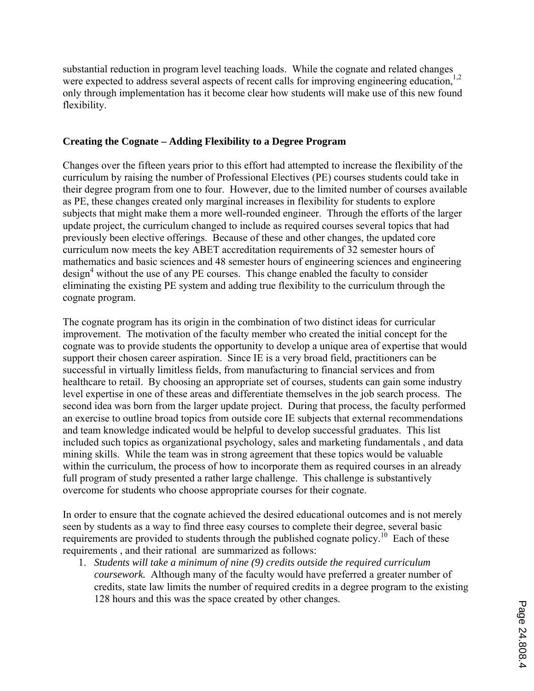substantial reduction in program level teaching loads. While the cognate and related changes were expected to address several aspects of recent calls for improving engineering education,<sup>1,2</sup> only through implementation has it become clear how students will make use of this new found flexibility.

### **Creating the Cognate – Adding Flexibility to a Degree Program**

Changes over the fifteen years prior to this effort had attempted to increase the flexibility of the curriculum by raising the number of Professional Electives (PE) courses students could take in their degree program from one to four. However, due to the limited number of courses available as PE, these changes created only marginal increases in flexibility for students to explore subjects that might make them a more well-rounded engineer. Through the efforts of the larger update project, the curriculum changed to include as required courses several topics that had previously been elective offerings. Because of these and other changes, the updated core curriculum now meets the key ABET accreditation requirements of 32 semester hours of mathematics and basic sciences and 48 semester hours of engineering sciences and engineering design<sup>4</sup> without the use of any PE courses. This change enabled the faculty to consider eliminating the existing PE system and adding true flexibility to the curriculum through the cognate program.

The cognate program has its origin in the combination of two distinct ideas for curricular improvement. The motivation of the faculty member who created the initial concept for the cognate was to provide students the opportunity to develop a unique area of expertise that would support their chosen career aspiration. Since IE is a very broad field, practitioners can be successful in virtually limitless fields, from manufacturing to financial services and from healthcare to retail. By choosing an appropriate set of courses, students can gain some industry level expertise in one of these areas and differentiate themselves in the job search process. The second idea was born from the larger update project. During that process, the faculty performed an exercise to outline broad topics from outside core IE subjects that external recommendations and team knowledge indicated would be helpful to develop successful graduates. This list included such topics as organizational psychology, sales and marketing fundamentals , and data mining skills. While the team was in strong agreement that these topics would be valuable within the curriculum, the process of how to incorporate them as required courses in an already full program of study presented a rather large challenge. This challenge is substantively overcome for students who choose appropriate courses for their cognate.

In order to ensure that the cognate achieved the desired educational outcomes and is not merely seen by students as a way to find three easy courses to complete their degree, several basic requirements are provided to students through the published cognate policy.<sup>10</sup> Each of these requirements , and their rational are summarized as follows:

1. *Students will take a minimum of nine (9) credits outside the required curriculum coursework.* Although many of the faculty would have preferred a greater number of credits, state law limits the number of required credits in a degree program to the existing 128 hours and this was the space created by other changes.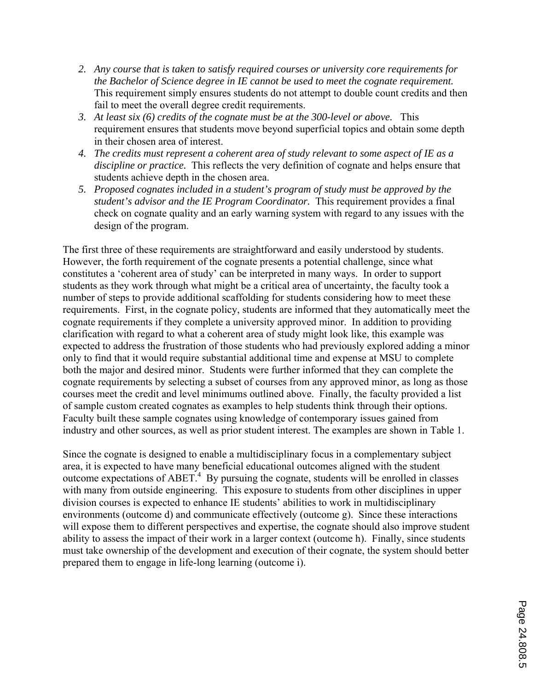- *2. Any course that is taken to satisfy required courses or university core requirements for the Bachelor of Science degree in IE cannot be used to meet the cognate requirement.* This requirement simply ensures students do not attempt to double count credits and then fail to meet the overall degree credit requirements.
- *3. At least six (6) credits of the cognate must be at the 300-level or above.* This requirement ensures that students move beyond superficial topics and obtain some depth in their chosen area of interest.
- *4. The credits must represent a coherent area of study relevant to some aspect of IE as a discipline or practice.* This reflects the very definition of cognate and helps ensure that students achieve depth in the chosen area.
- *5. Proposed cognates included in a student's program of study must be approved by the student's advisor and the IE Program Coordinator.* This requirement provides a final check on cognate quality and an early warning system with regard to any issues with the design of the program.

The first three of these requirements are straightforward and easily understood by students. However, the forth requirement of the cognate presents a potential challenge, since what constitutes a 'coherent area of study' can be interpreted in many ways. In order to support students as they work through what might be a critical area of uncertainty, the faculty took a number of steps to provide additional scaffolding for students considering how to meet these requirements. First, in the cognate policy, students are informed that they automatically meet the cognate requirements if they complete a university approved minor. In addition to providing clarification with regard to what a coherent area of study might look like, this example was expected to address the frustration of those students who had previously explored adding a minor only to find that it would require substantial additional time and expense at MSU to complete both the major and desired minor. Students were further informed that they can complete the cognate requirements by selecting a subset of courses from any approved minor, as long as those courses meet the credit and level minimums outlined above. Finally, the faculty provided a list of sample custom created cognates as examples to help students think through their options. Faculty built these sample cognates using knowledge of contemporary issues gained from industry and other sources, as well as prior student interest. The examples are shown in Table 1.

Since the cognate is designed to enable a multidisciplinary focus in a complementary subject area, it is expected to have many beneficial educational outcomes aligned with the student outcome expectations of  $ABET^4$ . By pursuing the cognate, students will be enrolled in classes with many from outside engineering. This exposure to students from other disciplines in upper division courses is expected to enhance IE students' abilities to work in multidisciplinary environments (outcome d) and communicate effectively (outcome g). Since these interactions will expose them to different perspectives and expertise, the cognate should also improve student ability to assess the impact of their work in a larger context (outcome h). Finally, since students must take ownership of the development and execution of their cognate, the system should better prepared them to engage in life-long learning (outcome i).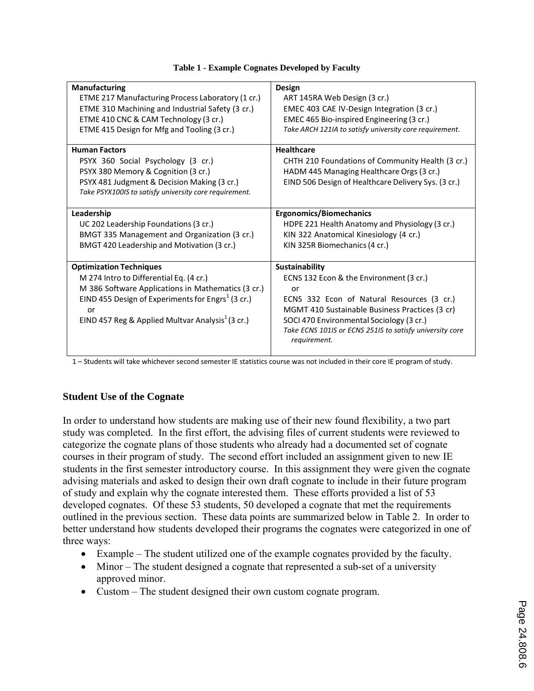| <b>Manufacturing</b>                                          | Design                                                   |
|---------------------------------------------------------------|----------------------------------------------------------|
| ETME 217 Manufacturing Process Laboratory (1 cr.)             | ART 145RA Web Design (3 cr.)                             |
| ETME 310 Machining and Industrial Safety (3 cr.)              | EMEC 403 CAE IV-Design Integration (3 cr.)               |
| ETME 410 CNC & CAM Technology (3 cr.)                         | EMEC 465 Bio-inspired Engineering (3 cr.)                |
| ETME 415 Design for Mfg and Tooling (3 cr.)                   | Take ARCH 121IA to satisfy university core requirement.  |
|                                                               |                                                          |
| <b>Human Factors</b>                                          | <b>Healthcare</b>                                        |
| PSYX 360 Social Psychology (3 cr.)                            | CHTH 210 Foundations of Community Health (3 cr.)         |
| PSYX 380 Memory & Cognition (3 cr.)                           | HADM 445 Managing Healthcare Orgs (3 cr.)                |
| PSYX 481 Judgment & Decision Making (3 cr.)                   | EIND 506 Design of Healthcare Delivery Sys. (3 cr.)      |
| Take PSYX100IS to satisfy university core requirement.        |                                                          |
|                                                               |                                                          |
| Leadership                                                    | <b>Ergonomics/Biomechanics</b>                           |
| UC 202 Leadership Foundations (3 cr.)                         | HDPE 221 Health Anatomy and Physiology (3 cr.)           |
| BMGT 335 Management and Organization (3 cr.)                  | KIN 322 Anatomical Kinesiology (4 cr.)                   |
| BMGT 420 Leadership and Motivation (3 cr.)                    | KIN 325R Biomechanics (4 cr.)                            |
|                                                               |                                                          |
| <b>Optimization Techniques</b>                                | <b>Sustainability</b>                                    |
| M 274 Intro to Differential Eq. (4 cr.)                       | ECNS 132 Econ & the Environment (3 cr.)                  |
| M 386 Software Applications in Mathematics (3 cr.)            | Ωr                                                       |
| EIND 455 Design of Experiments for Engrs <sup>1</sup> (3 cr.) | ECNS 332 Econ of Natural Resources (3 cr.)               |
| or                                                            | MGMT 410 Sustainable Business Practices (3 cr)           |
| EIND 457 Reg & Applied Multvar Analysis <sup>1</sup> (3 cr.)  | SOCI 470 Environmental Sociology (3 cr.)                 |
|                                                               | Take ECNS 101IS or ECNS 251IS to satisfy university core |
|                                                               | requirement.                                             |
|                                                               |                                                          |

|  |  | Table 1 - Example Cognates Developed by Faculty |  |
|--|--|-------------------------------------------------|--|
|  |  |                                                 |  |

1 – Students will take whichever second semester IE statistics course was not included in their core IE program of study.

## **Student Use of the Cognate**

In order to understand how students are making use of their new found flexibility, a two part study was completed. In the first effort, the advising files of current students were reviewed to categorize the cognate plans of those students who already had a documented set of cognate courses in their program of study. The second effort included an assignment given to new IE students in the first semester introductory course. In this assignment they were given the cognate advising materials and asked to design their own draft cognate to include in their future program of study and explain why the cognate interested them. These efforts provided a list of 53 developed cognates. Of these 53 students, 50 developed a cognate that met the requirements outlined in the previous section. These data points are summarized below in Table 2. In order to better understand how students developed their programs the cognates were categorized in one of three ways:

- Example The student utilized one of the example cognates provided by the faculty.
- Minor The student designed a cognate that represented a sub-set of a university approved minor.
- Custom The student designed their own custom cognate program.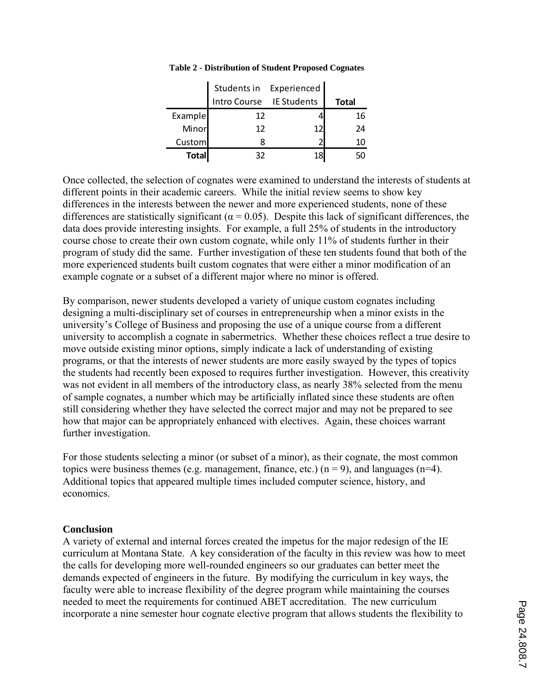|               |                          | Students in Experienced |              |
|---------------|--------------------------|-------------------------|--------------|
|               | Intro Course IE Students |                         | <b>Total</b> |
| Example       | 12                       |                         | 16           |
| Minor         | 12                       | 12                      | 24           |
| <b>Custom</b> |                          |                         | 10           |
| <b>Total</b>  | 32                       | 18                      |              |

#### **Table 2 - Distribution of Student Proposed Cognates**

Once collected, the selection of cognates were examined to understand the interests of students at different points in their academic careers. While the initial review seems to show key differences in the interests between the newer and more experienced students, none of these differences are statistically significant ( $\alpha$  = 0.05). Despite this lack of significant differences, the data does provide interesting insights. For example, a full 25% of students in the introductory course chose to create their own custom cognate, while only 11% of students further in their program of study did the same. Further investigation of these ten students found that both of the more experienced students built custom cognates that were either a minor modification of an example cognate or a subset of a different major where no minor is offered.

By comparison, newer students developed a variety of unique custom cognates including designing a multi-disciplinary set of courses in entrepreneurship when a minor exists in the university's College of Business and proposing the use of a unique course from a different university to accomplish a cognate in sabermetrics. Whether these choices reflect a true desire to move outside existing minor options, simply indicate a lack of understanding of existing programs, or that the interests of newer students are more easily swayed by the types of topics the students had recently been exposed to requires further investigation. However, this creativity was not evident in all members of the introductory class, as nearly 38% selected from the menu of sample cognates, a number which may be artificially inflated since these students are often still considering whether they have selected the correct major and may not be prepared to see how that major can be appropriately enhanced with electives. Again, these choices warrant further investigation.

For those students selecting a minor (or subset of a minor), as their cognate, the most common topics were business themes (e.g. management, finance, etc.) ( $n = 9$ ), and languages ( $n=4$ ). Additional topics that appeared multiple times included computer science, history, and economics.

#### **Conclusion**

A variety of external and internal forces created the impetus for the major redesign of the IE curriculum at Montana State. A key consideration of the faculty in this review was how to meet the calls for developing more well-rounded engineers so our graduates can better meet the demands expected of engineers in the future. By modifying the curriculum in key ways, the faculty were able to increase flexibility of the degree program while maintaining the courses needed to meet the requirements for continued ABET accreditation. The new curriculum incorporate a nine semester hour cognate elective program that allows students the flexibility to